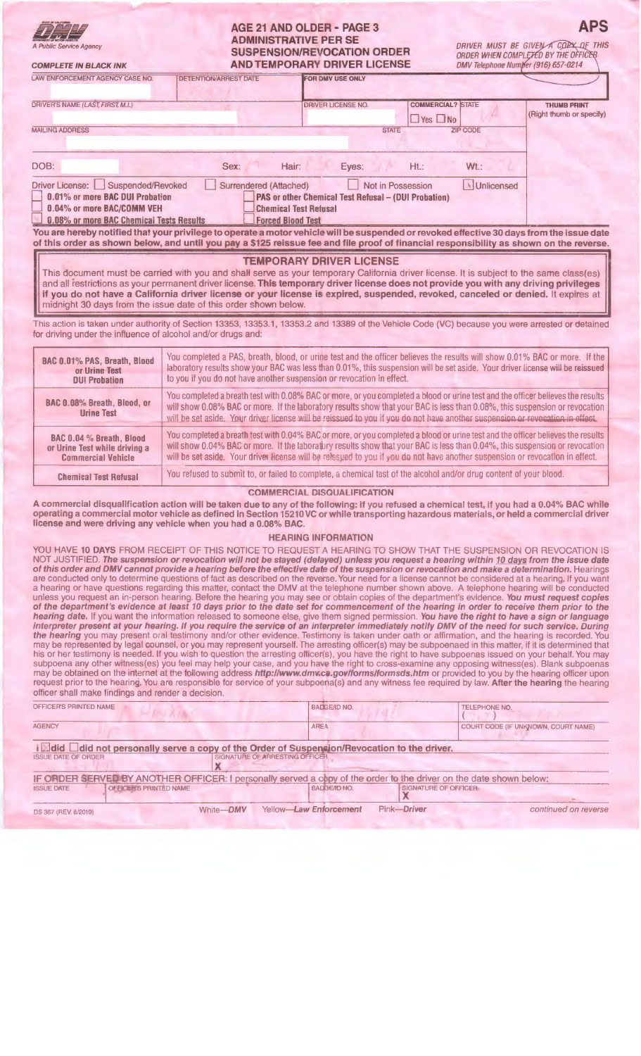## AGE 21 AND OLDER - PAGE 3 ADMINISTRATIVE PER SE SUSPENSION/REVOCATION ORDER AND TEMPORARY DRIVER LICENSE

**DEPARTMENT OF MOTOR REMOVES** A Public Service Agency COMPLETE IN BLACK INK **APS** 

| <b>LAW ENFORCEMENT AGENCY CASE NO.</b>                                                                                                                                                                                                                                                                                                                                                                                                                                                  | <b>DETENTION/ARREST DATE</b>                                                                                               | FOR DMV USE ONLY                                                                                                                      |                                                  |                                                |
|-----------------------------------------------------------------------------------------------------------------------------------------------------------------------------------------------------------------------------------------------------------------------------------------------------------------------------------------------------------------------------------------------------------------------------------------------------------------------------------------|----------------------------------------------------------------------------------------------------------------------------|---------------------------------------------------------------------------------------------------------------------------------------|--------------------------------------------------|------------------------------------------------|
| DRIVER'S NAME (LAST, FIRST, M.I.)                                                                                                                                                                                                                                                                                                                                                                                                                                                       |                                                                                                                            | <b>DRIVER LICENSE NO.</b>                                                                                                             | <b>COMMERCIAL? STATE</b><br>$\Box$ Yes $\Box$ No | <b>THUMB PRINT</b><br>(Right thumb or specify) |
| <b>MAILING ADDRESS</b>                                                                                                                                                                                                                                                                                                                                                                                                                                                                  |                                                                                                                            | <b>STATE</b>                                                                                                                          | <b>ZIP CODE</b>                                  |                                                |
| DOB:                                                                                                                                                                                                                                                                                                                                                                                                                                                                                    | Sex:                                                                                                                       | Hair:<br>Eyes:                                                                                                                        | $Ht$ .:<br>$Wt$ :                                |                                                |
| Driver License: Suspended/Revoked<br>0.01% or more BAC DUI Probation<br>0.04% or more BAC/COMM VEH<br>0.08% or more BAC Chemical Tests Results<br>You are hereby notified that your privilege to operate a motor vehicle will be suspended or revoked effective 30 days from the issue date<br>of this order as shown below, and until you pay a \$125 reissue fee and file proof of financial responsibility as shown on the reverse.                                                  | Surrendered (Attached)                                                                                                     | Not in Possession<br>PAS or other Chemical Test Refusal - (DUI Probation)<br><b>Chemical Test Refusal</b><br><b>Forced Blood Test</b> | <b>N</b> Unlicensed                              |                                                |
| This document must be carried with you and shall serve as your temporary California driver license. It is subject to the same class(es)<br>and all restrictions as your permanent driver license. This temporary driver license does not provide you with any driving privileges<br>if you do not have a California driver license or your license is expired, suspended, revoked, canceled or denied. It expires at<br>midnight 30 days from the issue date of this order shown below. |                                                                                                                            | <b>TEMPORARY DRIVER LICENSE</b>                                                                                                       |                                                  |                                                |
| This action is taken under authority of Section 13353, 13353.1, 13353.2 and 13389 of the Vehicle Code (VC) because you were arrested or detained<br>for driving under the influence of alcohol and/or drugs and:                                                                                                                                                                                                                                                                        |                                                                                                                            |                                                                                                                                       |                                                  |                                                |
| BAC 0.01% PAS. Breath, Blood                                                                                                                                                                                                                                                                                                                                                                                                                                                            | You completed a PAS, breath, blood, or urine test and the officer believes the results will show 0.01% BAC or more. If the |                                                                                                                                       |                                                  |                                                |

| BAC 0.01% PAS, Breath, Blood                     | You completed a PAS, breath, blood, or urine test and the officer believes the results will show 0.01% BAC or more. If the I                                                                                                                                                                                                                                                                    |  |  |  |  |
|--------------------------------------------------|-------------------------------------------------------------------------------------------------------------------------------------------------------------------------------------------------------------------------------------------------------------------------------------------------------------------------------------------------------------------------------------------------|--|--|--|--|
| or Urine Test                                    | laboratory results show your BAC was less than 0.01%, this suspension will be set aside. Your driver license will be reissued                                                                                                                                                                                                                                                                   |  |  |  |  |
| <b>DUI Probation</b>                             | to you if you do not have another suspension or revocation in effect.                                                                                                                                                                                                                                                                                                                           |  |  |  |  |
| BAC 0.08% Breath, Blood, or<br><b>Urine Test</b> | You completed a breath test with 0.08% BAC or more, or you completed a blood or urine test and the officer believes the results<br>will show 0.08% BAC or more. If the laboratory results show that your BAC is less than 0.08%, this suspension or revocation<br>will be set aside. Your driver license will be reissued to you if you do not have another suspension or revocation in effect. |  |  |  |  |
| BAC 0.04 % Breath, Blood                         | You completed a breath test with 0.04% BAC or more, or you completed a blood or urine test and the officer believes the results                                                                                                                                                                                                                                                                 |  |  |  |  |
| or Urine Test while driving a                    | will show 0.04% BAC or more. If the laboratory results show that your BAC is less than 0.04%, this suspension or revocation                                                                                                                                                                                                                                                                     |  |  |  |  |
| <b>Commercial Vehicle</b>                        | will be set aside. Your driver license will be relessed to you if you do not have another suspension or revocation in effect.                                                                                                                                                                                                                                                                   |  |  |  |  |
| <b>Chemical Test Refusal</b>                     | You refused to submit to, or failed to complete, a chemical test of the alcohol and/or drug content of your blood.                                                                                                                                                                                                                                                                              |  |  |  |  |

### COMMERCIAL DISQUALIFICATION

A commercial disqualification action will be taken due to any of the following: if you refused a chemical test, if you had a 0.04% BAC while operating a commercial motor vehicle as defined in Section 15210 VC or while transporting hazardous materials, or held a commercial driver license and were driving any vehicle when you had a 0.08% BAC.

### HEARING INFORMATION

YOU HAVE 10 DAYS FROM RECEIPT OF THIS NOTICE TO REQUEST A HEARING TO SHOW THAT THE SUSPENSION OR REVOCATION IS NOT JUSTIFIED. The suspension or revocation will not be stayed (delayed) unless you request a hearing within 10 days from the issue date of this order and DMV cannot provide a hearing before the effective date of the suspension or revocation and make a determination. Hearings are conducted only to determine questions of fact as described on the reverse. Your need for a license cannot be considered at a hearing. If you want a hearing or have questions regarding this matter, contact the DMV at the telephone number shown above. A telephone hearing will be conducted unless you request an in-person hearing. Before the hearing you may see or obtain copies of the department's evidence. You must request copies of the department's evidence at least 10 days prior to the date set for commencement of the hearing in order to receive them prior to the hearing date. If you want the information released to someone else, give them signed permission. You have the right to have a sign or language interpreter present at your hearing. If you require the service of an interpreter immediately notify DMV of the need for such service. During the hearing you may present oral testimony and/or other evidence. Testimony is taken under oath or affirmation, and the hearing is recorded. You may be represented by legal counsel, or you may represent yourself. The arresting officer(s) may be subpoenaed in this matter, if it is determined that his or her testimony is needed. If you wish to question the arresting officer(s), you have the right to have subpoenas issued on your behalf. You may subpoena any other witness(es) you feel may help your case, and you have the right to cross-examine any opposing witness(es). Blank subpoenas may be obtained on the internet at the following address http://www.dmv.ca.gov/forms/formsds.htm or provided to you by the hearing officer upon request prior to the hearing. You are responsible for service of your subpoena(s) and any witness fee required by law. After the hearing the hearing officer shall make findings and render a decision.

| OFFICER'S PRINTED NAME                                                                                             |                                | BADGE/ID NO.           |                       | <b>TELEPHONE NO.</b>                |
|--------------------------------------------------------------------------------------------------------------------|--------------------------------|------------------------|-----------------------|-------------------------------------|
| <b>AGENCY</b>                                                                                                      |                                | <b>AREA</b>            |                       | COURT CODE (IF UNKNOWN, COURT NAME) |
| i <b>Edid </b> did not personally serve a copy of the Order of Suspension/Revocation to the driver.                |                                |                        |                       |                                     |
| <b>ISSUE DATE OF ORDER</b>                                                                                         | SIGNATURE OF ARRESTING OFFICER |                        |                       |                                     |
| IF ORDER SERVED BY ANOTHER OFFICER: I personally served a copy of the order to the driver on the date shown below: |                                |                        |                       |                                     |
| OFFICER'S PRINTED NAME<br><b>ISSUE DATE</b>                                                                        |                                | BADGE/ID NO.           | SIGNATURE OF OFFICER- |                                     |
| DS 367 (REV. 8/2010)                                                                                               | White-DMV                      | Yellow-Law Enforcement | Pink-Driver           | continued on reverse                |